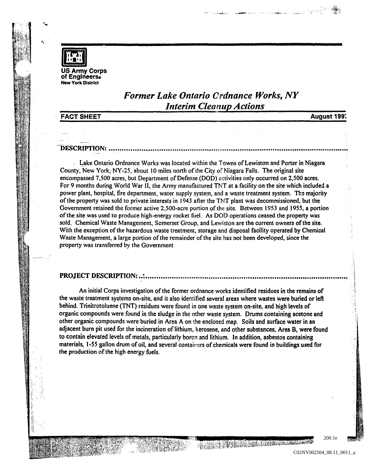

· ...

\*.

US Army Corps<br>of Engineers. New York District

## *Former Lake Ontario Ordnance Works, NY Interim Cleanup Actions*

.<br>**Ma**nda a kontrola de la controla de la profita de la controla de la controla de la controla de la controla de l

FACT SHEET

August 199i

## --1)~<:ItIJJ1rI()~: •••••••••••••••••••••••••••••••••••••••••••••••••• ~ .••**••••••••••••••••••••••••••••••••••••••••••••••••••••••••**

- Lake Ontario Ordnance Works was located within the Towns of Lewiston and Porter in Niagara County, New York, NY-25, about 10 miles north of the City of Niagara Falls. The original site encompassed 7,500 acres, but Department of Defense (DOD) activities only occurred on 2,500 acres. For 9 months during World War II, the Army manufactured TNT at a facility on the site which included a power plant, hospital, fire department, water supply system, and a waste treatment system. The majority of the property was sold to private interests in 1943 after the TNT plant was decommissioned, but the Government retained the former active 2,SOO-acre portion of the site. Between 1953 and 1955, a portion of the site was used to produce high-energy rocket fuel. As DOD operations ceased the property was sold. Chemical Waste Management, Somerset Group. and Lewiston are the current owners of the site. With the exception of the hazardous waste treatment, storage and disposal facility operated by Chemical Waste Management, a large portion of the remainder of the site has not been developed. since the property was transferred by the Government.

## ~1t()J~<:1r 1)~<:ItI)J1fI{)~: •• : •••••••••••••••••••••••••••••••••••••••••**••••••••••••••••••••••••••••••••••••••••••••••••••••**

An initial Corps investigation of the former ordnance works identified residues in the remains of the waste treatment systems on-site. and it also identified several areas where wastes were buried or left behind. Trinitrotoluene (TNT) residues were found in one waste system on-site, and high levels of organic compounds were found in the sludge in the other waste system. Drums containing acetone and other organic compounds were buried in Area A on the enclosed map. Soils and surface water in an adjacent bum pit used for the incineration of lithium. kerosene, and other substances. Area B. were found to contain elevated levels of metals, particularly boron and lithium. In addition, asbestos containing materials, 1-55 gallon drum of oil, and several containers of chemicals were found in buildings used for the production of the high energy fuels.

e de control de la control de la control de la control de la control de la control de la control de la control<br>La control de la control de la control de la control de la control de la control de la control de la control d

200.1e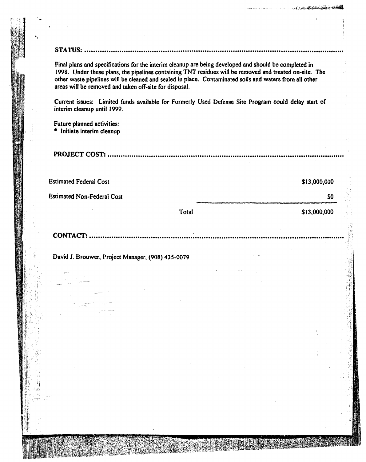**..............** 

. La ann Bashion an Air Mhit

Final plans and specifications for the interim cleanup are being developed and should be completed in 1998. Under these plans. the pipelines containing TNT residues will be removed and treated on-site. The other waste pipelines will be cleaned and sealed in place. Contaminated soils and waters from all other areas will be removed and taken off-site for disposal.

Current issues: Limited funds available for Formerly Used Defense Site Program could delay start of interim cleanup until 1999.

Future planned activities: • Initiate interim cleanup

. .

))1t()Jr~1r **C:()!;1r: ••••••••••••••••••••••••••••••••••••••••••••••••••••••••••••••••••••••••••••••••••••••••••••••••••••••••••••** 

| <b>Estimated Federal Cost</b>     |       | \$13,000,000 |
|-----------------------------------|-------|--------------|
| <b>Estimated Non-Federal Cost</b> |       | \$0          |
|                                   | Total | \$13,000,000 |

CONTACT: .........

David 1. Brouwer. Project Manager, (908) 435-0079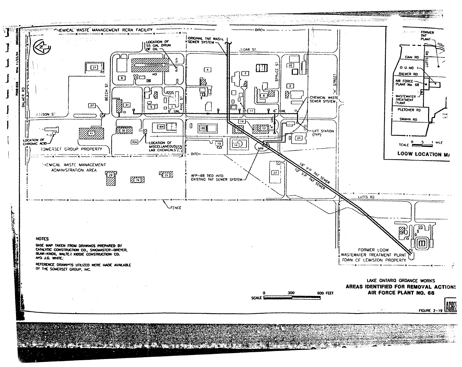